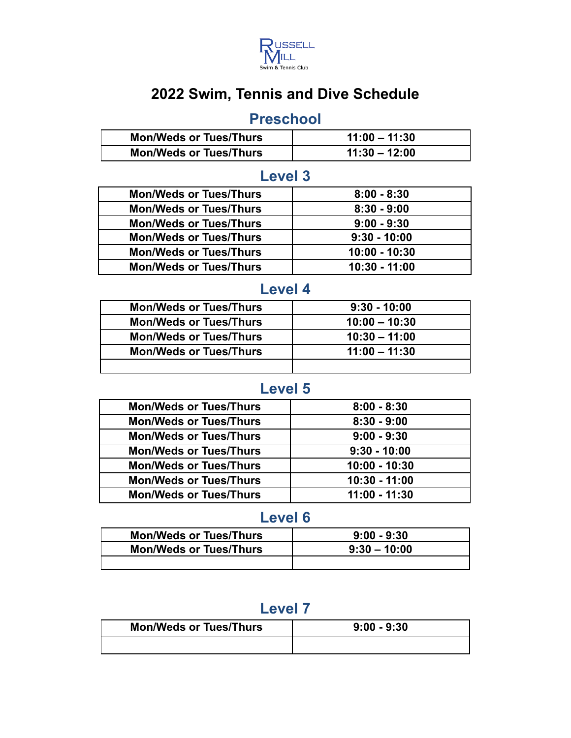

# **2022 Swim, Tennis and Dive Schedule**

### **Preschool**

| <b>Mon/Weds or Tues/Thurs</b> | $11:00 - 11:30$ |
|-------------------------------|-----------------|
| <b>Mon/Weds or Tues/Thurs</b> | $11:30 - 12:00$ |

### **Level 3**

| <b>Mon/Weds or Tues/Thurs</b> | $8:00 - 8:30$   |
|-------------------------------|-----------------|
| <b>Mon/Weds or Tues/Thurs</b> | $8:30 - 9:00$   |
| <b>Mon/Weds or Tues/Thurs</b> | $9:00 - 9:30$   |
| <b>Mon/Weds or Tues/Thurs</b> | $9:30 - 10:00$  |
| <b>Mon/Weds or Tues/Thurs</b> | $10:00 - 10:30$ |
| <b>Mon/Weds or Tues/Thurs</b> | $10:30 - 11:00$ |

#### **Level 4**

| <b>Mon/Weds or Tues/Thurs</b> | $9:30 - 10:00$  |
|-------------------------------|-----------------|
| <b>Mon/Weds or Tues/Thurs</b> | $10:00 - 10:30$ |
| <b>Mon/Weds or Tues/Thurs</b> | $10:30 - 11:00$ |
| <b>Mon/Weds or Tues/Thurs</b> | $11:00 - 11:30$ |
|                               |                 |

### **Level 5**

| <b>Mon/Weds or Tues/Thurs</b> | $8:00 - 8:30$   |
|-------------------------------|-----------------|
| <b>Mon/Weds or Tues/Thurs</b> | $8:30 - 9:00$   |
| <b>Mon/Weds or Tues/Thurs</b> | $9:00 - 9:30$   |
| <b>Mon/Weds or Tues/Thurs</b> | $9:30 - 10:00$  |
| <b>Mon/Weds or Tues/Thurs</b> | $10:00 - 10:30$ |
| <b>Mon/Weds or Tues/Thurs</b> | $10:30 - 11:00$ |
| <b>Mon/Weds or Tues/Thurs</b> | $11:00 - 11:30$ |

#### **Level 6**

| <b>Mon/Weds or Tues/Thurs</b> | $9:00 - 9:30$  |
|-------------------------------|----------------|
| <b>Mon/Weds or Tues/Thurs</b> | $9:30 - 10:00$ |
|                               |                |

# **Level 7**

| <b>Mon/Weds or Tues/Thurs</b> | $9:00 - 9:30$ |
|-------------------------------|---------------|
|                               |               |